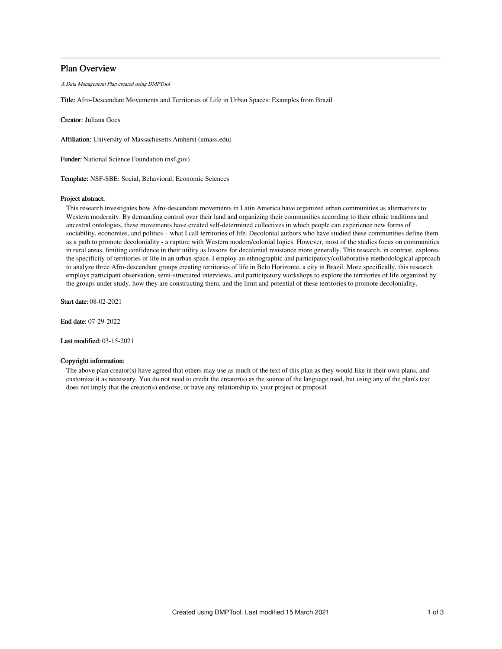# Plan Overview

A Data Management Plan created using DMPTool

Title: Afro-Descendant Movements and Territories of Life in Urban Spaces: Examples from Brazil

Creator: Juliana Goes

Affiliation: University of Massachusetts Amherst (umass.edu)

Funder: National Science Foundation (nsf.gov)

Template: NSF-SBE: Social, Behavioral, Economic Sciences

### Project abstract:

This research investigates how Afro-descendant movements in Latin America have organized urban communities as alternatives to Western modernity. By demanding control over their land and organizing their communities according to their ethnic traditions and ancestral ontologies, these movements have created self-determined collectives in which people can experience new forms of sociability, economies, and politics – what I call territories of life. Decolonial authors who have studied these communities define them as a path to promote decoloniality - a rupture with Western modern/colonial logics. However, most of the studies focus on communities in rural areas, limiting confidence in their utility as lessons for decolonial resistance more generally. This research, in contrast, explores the specificity of territories of life in an urban space. I employ an ethnographic and participatory/collaborative methodological approach to analyze three Afro-descendant groups creating territories of life in Belo Horizonte, a city in Brazil. More specifically, this research employs participant observation, semi-structured interviews, and participatory workshops to explore the territories of life organized by the groups under study, how they are constructing them, and the limit and potential of these territories to promote decoloniality.

Start date: 08-02-2021

End date: 07-29-2022

Last modified: 03-15-2021

## Copyright information:

The above plan creator(s) have agreed that others may use as much of the text of this plan as they would like in their own plans, and customize it as necessary. You do not need to credit the creator(s) as the source of the language used, but using any of the plan's text does not imply that the creator(s) endorse, or have any relationship to, your project or proposal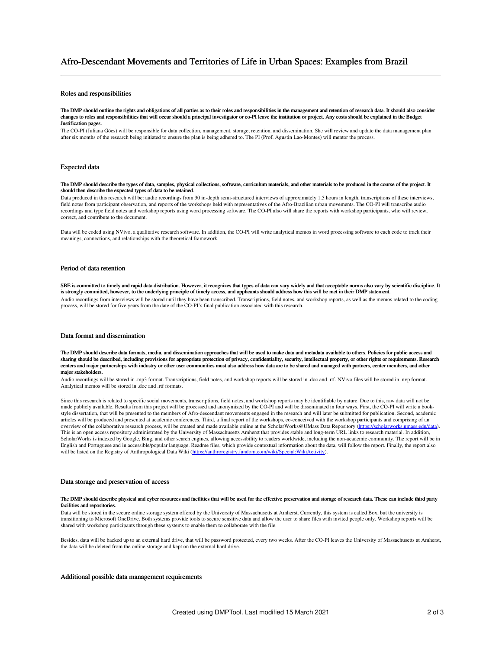# Roles and responsibilities

#### The DMP should outline the rights and obligations of all parties as to their roles and responsibilities in the management and retention of research data. It should also consider changes to roles and responsibilities that will occur should a principal investigator or co-PI leave the institution or project. Any costs should be explained in the Budget Justification pages.

The CO-PI (Juliana Góes) will be responsible for data collection, management, storage, retention, and dissemination. She will review and update the data management plan after six months of the research being initiated to ensure the plan is being adhered to. The PI (Prof. Agustin Lao-Montes) will mentor the process.

# Expected data

#### The DMP should describe the types of data, samples, physical collections, software, curriculum materials, and other materials to be produced in the course of the project. It should then describe the expected types of data to be retained.

Data produced in this research will be: audio recordings from 30 in-depth semi-structured interviews of approximately 1.5 hours in length, transcriptions of these interviews, field notes from participant observation, and reports of the workshops held with representatives of the Afro-Brazilian urban movements. The CO-PI will transcribe audio recordings and type field notes and workshop reports using word processing software. The CO-PI also will share the reports with workshop participants, who will review, correct, and contribute to the document.

Data will be coded using NVivo, a qualitative research software. In addition, the CO-PI will write analytical memos in word processing software to each code to track their meanings, connections, and relationships with the theoretical framework.

### Period of data retention

SBE is committed to timely and rapid data distribution. However, it recognizes that types of data can vary widely and that acceptable norms also vary by scientific discipline. It is strongly committed, however, to the underlying principle of timely access, and applicants should address how this will be met in their DMP statement. Audio recordings from interviews will be stored until they have been transcribed. Transcriptions, field notes, and workshop reports, as well as the memos related to the coding process, will be stored for five years from the date of the CO-PI's final publication associated with this research.

#### Data format and dissemination

The DMP should describe data formats, media, and dissemination approaches that will be used to make data and metadata available to others. Policies for public access and sharing should be described, including provisions for appropriate protection of privacy, confidentiality, security, intellectual property, or other rights or requirements. Research centers and major partnerships with industry or other user communities must also address how data are to be shared and managed with partners, center members, and other major stakeholders.

Audio recordings will be stored in .mp3 format. Transcriptions, field notes, and workshop reports will be stored in .doc and .rtf. NVivo files will be stored in .nvp format. Analytical memos will be stored in .doc and .rtf formats.

Since this research is related to specific social movements, transcriptions, field notes, and workshop reports may be identifiable by nature. Due to this, raw data will not be made publicly available. Results from this project will be processed and anonymized by the CO-PI and will be disseminated in four ways. First, the CO-PI will write a bookstyle dissertation, that will be presented to the members of Afro-descendant movements engaged in the research and will later be submitted for publication. Second, academic articles will be produced and presented at academic conferences. Third, a final report of the workshops, co-conceived with the workshop participants and comprising of an overview of the collaborative research process, will be created and made available online at the ScholarWorks@UMass Data Repository [\(https://scholarworks.umass.edu/data](https://scholarworks.umass.edu/data/)). This is an open access repository administrated by the University of Massachusetts Amherst that provides stable and long-term URL links to research material. In addition, ScholarWorks is indexed by Google, Bing, and other search engines, allowing accessibility to readers worldwide, including the non-academic community. The report will be in English and Portuguese and in accessible/popular language. Readme files, which provide contextual information about the data, will follow the report. Finally, the report also will be listed on the Registry of Anthropological Data Wiki (<https://anthroregistry.fandom.com/wiki/Special:WikiActivity>).

### Data storage and preservation of access

#### The DMP should describe physical and cyber resources and facilities that will be used for the effective preservation and storage of research data. These can include third party facilities and repositories

Data will be stored in the secure online storage system offered by the University of Massachusetts at Amherst. Currently, this system is called Box, but the university is transitioning to Microsoft OneDrive. Both systems provide tools to secure sensitive data and allow the user to share files with invited people only. Workshop reports will be shared with workshop participants through these systems to enable them to collaborate with the file.

Besides, data will be backed up to an external hard drive, that will be password protected, every two weeks. After the CO-PI leaves the University of Massachusetts at Amherst, the data will be deleted from the online storage and kept on the external hard drive.

#### Additional possible data management requirements